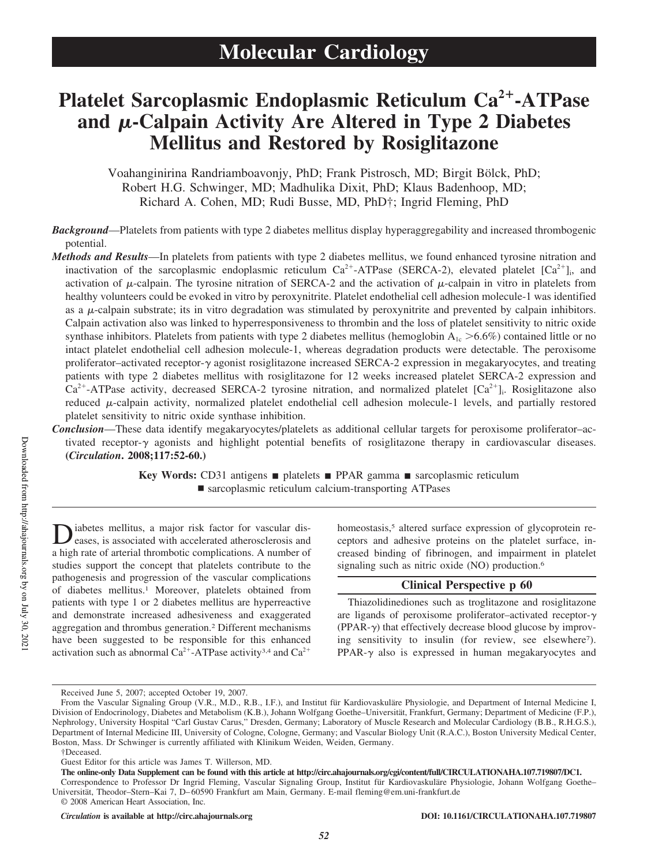# **Platelet Sarcoplasmic Endoplasmic Reticulum Ca<sup>2</sup> -ATPase** and  $\mu$ -Calpain Activity Are Altered in Type 2 Diabetes **Mellitus and Restored by Rosiglitazone**

Voahanginirina Randriamboavonjy, PhD; Frank Pistrosch, MD; Birgit Bölck, PhD; Robert H.G. Schwinger, MD; Madhulika Dixit, PhD; Klaus Badenhoop, MD; Richard A. Cohen, MD; Rudi Busse, MD, PhD†; Ingrid Fleming, PhD

*Background*—Platelets from patients with type 2 diabetes mellitus display hyperaggregability and increased thrombogenic potential.

*Methods and Results*—In platelets from patients with type 2 diabetes mellitus, we found enhanced tyrosine nitration and inactivation of the sarcoplasmic endoplasmic reticulum  $Ca^{2+}-ATP$ ase (SERCA-2), elevated platelet  $[Ca^{2+}]_i$ , and activation of  $\mu$ -calpain. The tyrosine nitration of SERCA-2 and the activation of  $\mu$ -calpain in vitro in platelets from healthy volunteers could be evoked in vitro by peroxynitrite. Platelet endothelial cell adhesion molecule-1 was identified as a  $\mu$ -calpain substrate; its in vitro degradation was stimulated by peroxynitrite and prevented by calpain inhibitors. Calpain activation also was linked to hyperresponsiveness to thrombin and the loss of platelet sensitivity to nitric oxide synthase inhibitors. Platelets from patients with type 2 diabetes mellitus (hemoglobin  $A_{1c} > 6.6\%$ ) contained little or no intact platelet endothelial cell adhesion molecule-1, whereas degradation products were detectable. The peroxisome proliferator–activated receptor- $\gamma$  agonist rosiglitazone increased SERCA-2 expression in megakaryocytes, and treating patients with type 2 diabetes mellitus with rosiglitazone for 12 weeks increased platelet SERCA-2 expression and  $Ca^{2+}$ -ATPase activity, decreased SERCA-2 tyrosine nitration, and normalized platelet  $[Ca^{2+}]$ . Rosiglitazone also reduced  $\mu$ -calpain activity, normalized platelet endothelial cell adhesion molecule-1 levels, and partially restored platelet sensitivity to nitric oxide synthase inhibition.

*Conclusion*—These data identify megakaryocytes/platelets as additional cellular targets for peroxisome proliferator–activated receptor- $\gamma$  agonists and highlight potential benefits of rosiglitazone therapy in cardiovascular diseases. **(***Circulation***. 2008;117:52-60.)**

> **Key Words:** CD31 antigens **■** platelets ■ PPAR gamma ■ sarcoplasmic reticulum ■ sarcoplasmic reticulum calcium-transporting ATPases

Diabetes mellitus, a major risk factor for vascular diseases, is associated with accelerated atherosclerosis and a high rate of arterial thrombotic complications. A number of iabetes mellitus, a major risk factor for vascular diseases, is associated with accelerated atherosclerosis and studies support the concept that platelets contribute to the pathogenesis and progression of the vascular complications of diabetes mellitus.<sup>1</sup> Moreover, platelets obtained from patients with type 1 or 2 diabetes mellitus are hyperreactive and demonstrate increased adhesiveness and exaggerated aggregation and thrombus generation.<sup>2</sup> Different mechanisms have been suggested to be responsible for this enhanced activation such as abnormal  $Ca^{2+}-ATP$ ase activity<sup>3,4</sup> and  $Ca^{2+}$ 

homeostasis,<sup>5</sup> altered surface expression of glycoprotein receptors and adhesive proteins on the platelet surface, increased binding of fibrinogen, and impairment in platelet signaling such as nitric oxide (NO) production.<sup>6</sup>

## **Clinical Perspective p 60**

Thiazolidinediones such as troglitazone and rosiglitazone are ligands of peroxisome proliferator-activated receptor- $\gamma$  $(PPAR-\gamma)$  that effectively decrease blood glucose by improving sensitivity to insulin (for review, see elsewhere<sup>7</sup>).  $PPAR-\gamma$  also is expressed in human megakaryocytes and

Received June 5, 2007; accepted October 19, 2007.

From the Vascular Signaling Group (V.R., M.D., R.B., I.F.), and Institut für Kardiovaskuläre Physiologie, and Department of Internal Medicine I, Division of Endocrinology, Diabetes and Metabolism (K.B.), Johann Wolfgang Goethe–Universität, Frankfurt, Germany; Department of Medicine (F.P.), Nephrology, University Hospital "Carl Gustav Carus," Dresden, Germany; Laboratory of Muscle Research and Molecular Cardiology (B.B., R.H.G.S.), Department of Internal Medicine III, University of Cologne, Cologne, Germany; and Vascular Biology Unit (R.A.C.), Boston University Medical Center, Boston, Mass. Dr Schwinger is currently affiliated with Klinikum Weiden, Weiden, Germany.

<sup>†</sup>Deceased.

Guest Editor for this article was James T. Willerson, MD.

**The online-only Data Supplement can be found with this article at http://circ.ahajournals.org/cgi/content/full/CIRCULATIONAHA.107.719807/DC1.**

Correspondence to Professor Dr Ingrid Fleming, Vascular Signaling Group, Institut für Kardiovaskuläre Physiologie, Johann Wolfgang Goethe– Universität, Theodor–Stern–Kai 7, D–60590 Frankfurt am Main, Germany. E-mail fleming@em.uni-frankfurt.de © 2008 American Heart Association, Inc.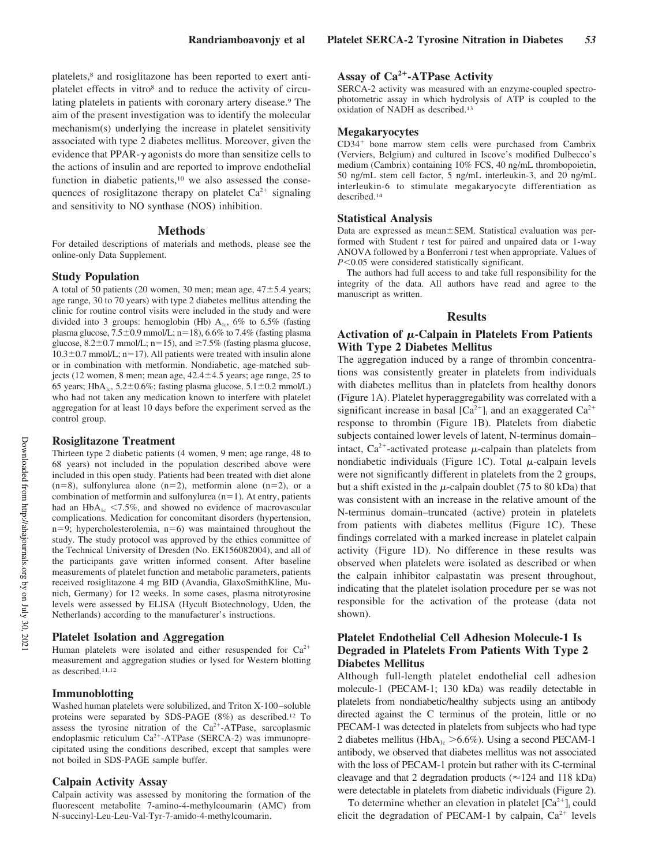platelets,<sup>8</sup> and rosiglitazone has been reported to exert antiplatelet effects in vitro<sup>8</sup> and to reduce the activity of circulating platelets in patients with coronary artery disease.<sup>9</sup> The aim of the present investigation was to identify the molecular mechanism(s) underlying the increase in platelet sensitivity associated with type 2 diabetes mellitus. Moreover, given the evidence that  $PPAR-\gamma$  agonists do more than sensitize cells to the actions of insulin and are reported to improve endothelial function in diabetic patients,<sup>10</sup> we also assessed the consequences of rosiglitazone therapy on platelet  $Ca^{2+}$  signaling and sensitivity to NO synthase (NOS) inhibition.

#### **Methods**

For detailed descriptions of materials and methods, please see the online-only Data Supplement.

## **Study Population**

A total of 50 patients (20 women, 30 men; mean age,  $47\pm5.4$  years; age range, 30 to 70 years) with type 2 diabetes mellitus attending the clinic for routine control visits were included in the study and were divided into 3 groups: hemoglobin (Hb)  $A_{1c}$ , 6% to 6.5% (fasting plasma glucose,  $7.5\pm0.9$  mmol/L; n=18), 6.6% to 7.4% (fasting plasma glucose,  $8.2 \pm 0.7$  mmol/L; n=15), and  $\ge 7.5\%$  (fasting plasma glucose,  $10.3\pm0.7$  mmol/L; n=17). All patients were treated with insulin alone or in combination with metformin. Nondiabetic, age-matched subjects (12 women, 8 men; mean age,  $42.4 \pm 4.5$  years; age range, 25 to 65 years; HbA<sub>1c</sub>, 5.2 $\pm$ 0.6%; fasting plasma glucose, 5.1 $\pm$ 0.2 mmol/L) who had not taken any medication known to interfere with platelet aggregation for at least 10 days before the experiment served as the control group.

#### **Rosiglitazone Treatment**

Thirteen type 2 diabetic patients (4 women, 9 men; age range, 48 to 68 years) not included in the population described above were included in this open study. Patients had been treated with diet alone  $(n=8)$ , sulfonylurea alone  $(n=2)$ , metformin alone  $(n=2)$ , or a combination of metformin and sulfonylurea  $(n=1)$ . At entry, patients had an  $HbA_{1c}$  <7.5%, and showed no evidence of macrovascular complications. Medication for concomitant disorders (hypertension,  $n=9$ ; hypercholesterolemia,  $n=6$ ) was maintained throughout the study. The study protocol was approved by the ethics committee of the Technical University of Dresden (No. EK156082004), and all of the participants gave written informed consent. After baseline measurements of platelet function and metabolic parameters, patients received rosiglitazone 4 mg BID (Avandia, GlaxoSmithKline, Munich, Germany) for 12 weeks. In some cases, plasma nitrotyrosine levels were assessed by ELISA (Hycult Biotechnology, Uden, the Netherlands) according to the manufacturer's instructions.

## **Platelet Isolation and Aggregation**

Human platelets were isolated and either resuspended for  $Ca^{2+}$ measurement and aggregation studies or lysed for Western blotting as described.11,12

#### **Immunoblotting**

Washed human platelets were solubilized, and Triton X-100–soluble proteins were separated by SDS-PAGE (8%) as described.<sup>12</sup> To assess the tyrosine nitration of the  $Ca^{2+}-ATP$ ase, sarcoplasmic endoplasmic reticulum Ca<sup>2+</sup>-ATPase (SERCA-2) was immunoprecipitated using the conditions described, except that samples were not boiled in SDS-PAGE sample buffer.

#### **Calpain Activity Assay**

Calpain activity was assessed by monitoring the formation of the fluorescent metabolite 7-amino-4-methylcoumarin (AMC) from N-succinyl-Leu-Leu-Val-Tyr-7-amido-4-methylcoumarin.

# **Assay of Ca<sup>2</sup>-ATPase Activity**

SERCA-2 activity was measured with an enzyme-coupled spectrophotometric assay in which hydrolysis of ATP is coupled to the oxidation of NADH as described.<sup>13</sup>

## **Megakaryocytes**

CD34 bone marrow stem cells were purchased from Cambrix (Verviers, Belgium) and cultured in Iscove's modified Dulbecco's medium (Cambrix) containing 10% FCS, 40 ng/mL thrombopoietin, 50 ng/mL stem cell factor, 5 ng/mL interleukin-3, and 20 ng/mL interleukin-6 to stimulate megakaryocyte differentiation as described.<sup>14</sup>

#### **Statistical Analysis**

Data are expressed as mean±SEM. Statistical evaluation was performed with Student *t* test for paired and unpaired data or 1-way ANOVA followed by a Bonferroni *t* test when appropriate. Values of *P*<0.05 were considered statistically significant.

The authors had full access to and take full responsibility for the integrity of the data. All authors have read and agree to the manuscript as written.

#### **Results**

## Activation of  $\mu$ -Calpain in Platelets From Patients **With Type 2 Diabetes Mellitus**

The aggregation induced by a range of thrombin concentrations was consistently greater in platelets from individuals with diabetes mellitus than in platelets from healthy donors (Figure 1A). Platelet hyperaggregability was correlated with a significant increase in basal  $[Ca^{2+}]_i$  and an exaggerated  $Ca^{2+}$ response to thrombin (Figure 1B). Platelets from diabetic subjects contained lower levels of latent, N-terminus domain– intact, Ca<sup>2+</sup>-activated protease  $\mu$ -calpain than platelets from nondiabetic individuals (Figure 1C). Total  $\mu$ -calpain levels were not significantly different in platelets from the 2 groups, but a shift existed in the  $\mu$ -calpain doublet (75 to 80 kDa) that was consistent with an increase in the relative amount of the N-terminus domain–truncated (active) protein in platelets from patients with diabetes mellitus (Figure 1C). These findings correlated with a marked increase in platelet calpain activity (Figure 1D). No difference in these results was observed when platelets were isolated as described or when the calpain inhibitor calpastatin was present throughout, indicating that the platelet isolation procedure per se was not responsible for the activation of the protease (data not shown).

## **Platelet Endothelial Cell Adhesion Molecule-1 Is Degraded in Platelets From Patients With Type 2 Diabetes Mellitus**

Although full-length platelet endothelial cell adhesion molecule-1 (PECAM-1; 130 kDa) was readily detectable in platelets from nondiabetic/healthy subjects using an antibody directed against the C terminus of the protein, little or no PECAM-1 was detected in platelets from subjects who had type 2 diabetes mellitus ( $HbA_{1c} > 6.6\%$ ). Using a second PECAM-1 antibody, we observed that diabetes mellitus was not associated with the loss of PECAM-1 protein but rather with its C-terminal cleavage and that 2 degradation products ( $\approx$  124 and 118 kDa) were detectable in platelets from diabetic individuals (Figure 2).

To determine whether an elevation in platelet  $[Ca^{2+}]_i$  could elicit the degradation of PECAM-1 by calpain,  $Ca^{2+}$  levels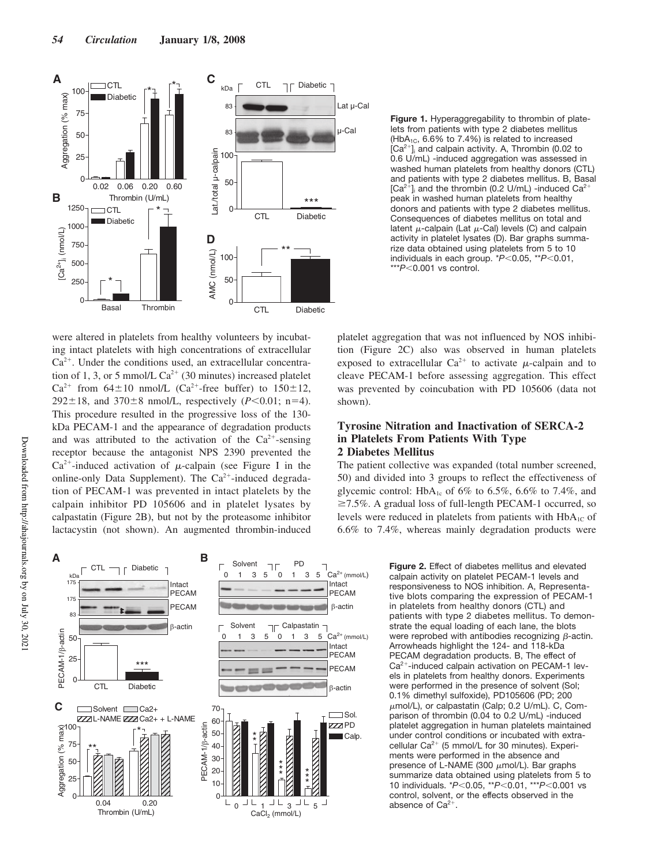

**Figure 1.** Hyperaggregability to thrombin of platelets from patients with type 2 diabetes mellitus (HbA<sub>1C</sub>,  $6.6\%$  to 7.4%) is related to increased  $[Ca<sup>2+</sup>]$  and calpain activity. A, Thrombin (0.02 to 0.6 U/mL) -induced aggregation was assessed in washed human platelets from healthy donors (CTL) and patients with type 2 diabetes mellitus. B, Basal  $[Ca^{2+}]$  and the thrombin (0.2 U/mL) -induced  $Ca^{2}$ peak in washed human platelets from healthy donors and patients with type 2 diabetes mellitus. Consequences of diabetes mellitus on total and latent  $\mu$ -calpain (Lat  $\mu$ -Cal) levels (C) and calpain activity in platelet lysates (D). Bar graphs summarize data obtained using platelets from 5 to 10 individuals in each group. \* $P$ <0.05, \*\* $P$ <0.01,  $**P<0.001$  vs control.

were altered in platelets from healthy volunteers by incubating intact platelets with high concentrations of extracellular Ca<sup>2</sup> . Under the conditions used, an extracellular concentration of 1, 3, or 5 mmol/L  $Ca^{2+}$  (30 minutes) increased platelet  $Ca^{2+}$  from 64 $\pm$ 10 nmol/L ( $Ca^{2+}$ -free buffer) to 150 $\pm$ 12,  $292 \pm 18$ , and  $370 \pm 8$  nmol/L, respectively (*P*<0.01; n=4). This procedure resulted in the progressive loss of the 130 kDa PECAM-1 and the appearance of degradation products and was attributed to the activation of the  $Ca^{2+}$ -sensing receptor because the antagonist NPS 2390 prevented the  $Ca^{2+}$ -induced activation of  $\mu$ -calpain (see Figure I in the online-only Data Supplement). The Ca<sup>2+</sup>-induced degradation of PECAM-1 was prevented in intact platelets by the calpain inhibitor PD 105606 and in platelet lysates by calpastatin (Figure 2B), but not by the proteasome inhibitor lactacystin (not shown). An augmented thrombin-induced



platelet aggregation that was not influenced by NOS inhibition (Figure 2C) also was observed in human platelets exposed to extracellular  $Ca^{2+}$  to activate  $\mu$ -calpain and to cleave PECAM-1 before assessing aggregation. This effect was prevented by coincubation with PD 105606 (data not shown).

# **Tyrosine Nitration and Inactivation of SERCA-2 in Platelets From Patients With Type 2 Diabetes Mellitus**

The patient collective was expanded (total number screened, 50) and divided into 3 groups to reflect the effectiveness of glycemic control: HbA<sub>1c</sub> of 6% to 6.5%, 6.6% to 7.4%, and  $\geq$ 7.5%. A gradual loss of full-length PECAM-1 occurred, so levels were reduced in platelets from patients with  $HbA_{1C}$  of 6.6% to 7.4%, whereas mainly degradation products were

> **Figure 2.** Effect of diabetes mellitus and elevated calpain activity on platelet PECAM-1 levels and responsiveness to NOS inhibition. A, Representative blots comparing the expression of PECAM-1 in platelets from healthy donors (CTL) and patients with type 2 diabetes mellitus. To demonstrate the equal loading of each lane, the blots were reprobed with antibodies recognizing  $\beta$ -actin. Arrowheads highlight the 124- and 118-kDa PECAM degradation products. B, The effect of Ca<sup>2+</sup>-induced calpain activation on PECAM-1 levels in platelets from healthy donors. Experiments were performed in the presence of solvent (Sol; 0.1% dimethyl sulfoxide), PD105606 (PD; 200  $\mu$ mol/L), or calpastatin (Calp; 0.2 U/mL). C, Comparison of thrombin (0.04 to 0.2 U/mL) -induced platelet aggregation in human platelets maintained under control conditions or incubated with extracellular  $Ca^{2+}$  (5 mmol/L for 30 minutes). Experiments were performed in the absence and presence of L-NAME (300  $\mu$ mol/L). Bar graphs summarize data obtained using platelets from 5 to 10 individuals. \**P*<0.05, \*\**P*<0.01, \*\*\**P*<0.001 vs control, solvent, or the effects observed in the absence of  $Ca^{2+}$ .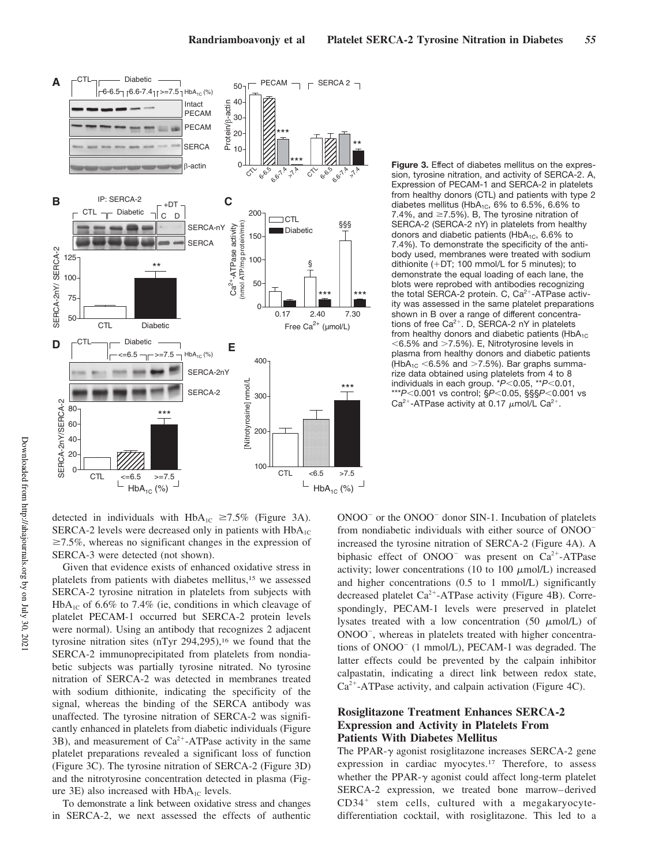

**Figure 3.** Effect of diabetes mellitus on the expression, tyrosine nitration, and activity of SERCA-2. A, Expression of PECAM-1 and SERCA-2 in platelets from healthy donors (CTL) and patients with type 2 diabetes mellitus (HbA<sub>1C</sub>,  $6\%$  to  $6.5\%$ ,  $6.6\%$  to 7.4%, and  $\geq$ 7.5%). B, The tyrosine nitration of SERCA-2 (SERCA-2 nY) in platelets from healthy donors and diabetic patients ( $HbA_{1C}$ , 6.6% to 7.4%). To demonstrate the specificity of the antibody used, membranes were treated with sodium dithionite  $(+DT; 100$  mmol/L for 5 minutes); to demonstrate the equal loading of each lane, the blots were reprobed with antibodies recognizing the total SERCA-2 protein. C, Ca<sup>2+</sup>-ATPase activity was assessed in the same platelet preparations shown in B over a range of different concentrations of free  $Ca^{2+}$ . D, SERCA-2 nY in platelets from healthy donors and diabetic patients ( $HbA_{1C}$  $<$  6.5% and  $>$  7.5%). E, Nitrotyrosine levels in plasma from healthy donors and diabetic patients  $(HbA_{1C} < 6.5\%$  and  $>7.5\%$ ). Bar graphs summarize data obtained using platelets from 4 to 8 individuals in each group. \**P*<0.05, \*\**P*<0.01, \*\*\**P*<0.001 vs control; §*P*<0.05, §§§*P*<0.001 vs Ca<sup>2+</sup>-ATPase activity at 0.17  $\mu$ mol/L Ca<sup>2+</sup>.

detected in individuals with  $HbA_{1C} \ge 7.5\%$  (Figure 3A). SERCA-2 levels were decreased only in patients with  $HbA_{1C}$  $\geq$ 7.5%, whereas no significant changes in the expression of SERCA-3 were detected (not shown).

Given that evidence exists of enhanced oxidative stress in platelets from patients with diabetes mellitus,<sup>15</sup> we assessed SERCA-2 tyrosine nitration in platelets from subjects with  $HbA_{1C}$  of 6.6% to 7.4% (ie, conditions in which cleavage of platelet PECAM-1 occurred but SERCA-2 protein levels were normal). Using an antibody that recognizes 2 adjacent tyrosine nitration sites (nTyr  $294,295$ ),<sup>16</sup> we found that the SERCA-2 immunoprecipitated from platelets from nondiabetic subjects was partially tyrosine nitrated. No tyrosine nitration of SERCA-2 was detected in membranes treated with sodium dithionite, indicating the specificity of the signal, whereas the binding of the SERCA antibody was unaffected. The tyrosine nitration of SERCA-2 was significantly enhanced in platelets from diabetic individuals (Figure  $3B$ ), and measurement of  $Ca^{2+}-ATP$ ase activity in the same platelet preparations revealed a significant loss of function (Figure 3C). The tyrosine nitration of SERCA-2 (Figure 3D) and the nitrotyrosine concentration detected in plasma (Figure 3E) also increased with  $HbA_{1C}$  levels.

To demonstrate a link between oxidative stress and changes in SERCA-2, we next assessed the effects of authentic

ONOO<sup>-</sup> or the ONOO<sup>-</sup> donor SIN-1. Incubation of platelets from nondiabetic individuals with either source of ONOO increased the tyrosine nitration of SERCA-2 (Figure 4A). A biphasic effect of  $ONOO^-$  was present on  $Ca^{2+}-ATP$ ase activity; lower concentrations (10 to 100  $\mu$ mol/L) increased and higher concentrations (0.5 to 1 mmol/L) significantly decreased platelet Ca<sup>2+</sup>-ATPase activity (Figure 4B). Correspondingly, PECAM-1 levels were preserved in platelet lysates treated with a low concentration (50  $\mu$ mol/L) of ONOO , whereas in platelets treated with higher concentrations of ONOO (1 mmol/L), PECAM-1 was degraded. The latter effects could be prevented by the calpain inhibitor calpastatin, indicating a direct link between redox state, Ca<sup>2+</sup>-ATPase activity, and calpain activation (Figure 4C).

# **Rosiglitazone Treatment Enhances SERCA-2 Expression and Activity in Platelets From Patients With Diabetes Mellitus**

The PPAR- $\gamma$  agonist rosiglitazone increases SERCA-2 gene expression in cardiac myocytes.<sup>17</sup> Therefore, to assess whether the PPAR- $\gamma$  agonist could affect long-term platelet SERCA-2 expression, we treated bone marrow–derived CD34 stem cells, cultured with a megakaryocytedifferentiation cocktail, with rosiglitazone. This led to a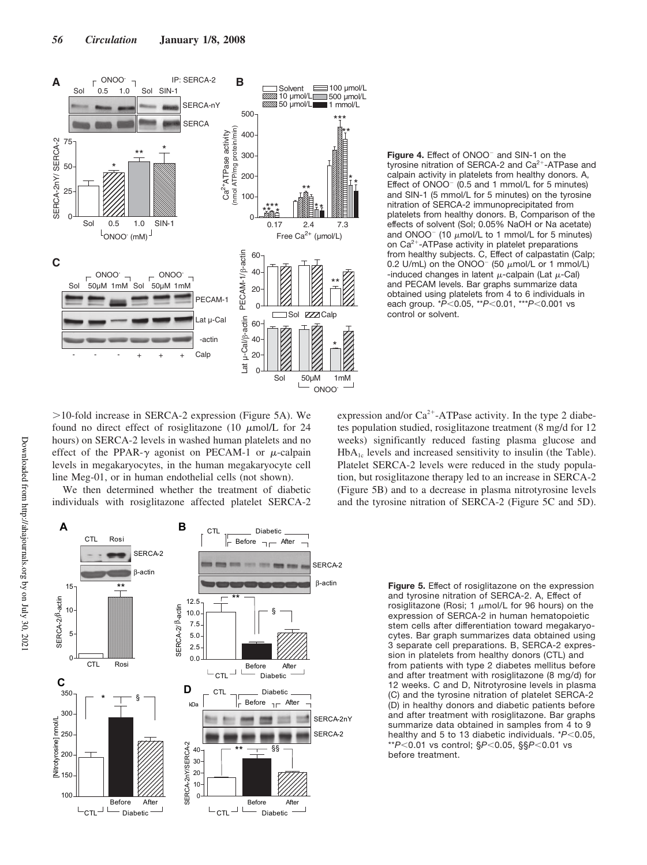

>10-fold increase in SERCA-2 expression (Figure 5A). We found no direct effect of rosiglitazone (10  $\mu$ mol/L for 24 hours) on SERCA-2 levels in washed human platelets and no effect of the PPAR- $\gamma$  agonist on PECAM-1 or  $\mu$ -calpain levels in megakaryocytes, in the human megakaryocyte cell line Meg-01, or in human endothelial cells (not shown).

We then determined whether the treatment of diabetic individuals with rosiglitazone affected platelet SERCA-2

Figure 4. Effect of ONOO<sup>-</sup> and SIN-1 on the tyrosine nitration of SERCA-2 and  $Ca<sup>2+</sup>$ -ATPase and calpain activity in platelets from healthy donors. A, Effect of  $ONOO^-$  (0.5 and 1 mmol/L for 5 minutes) and SIN-1 (5 mmol/L for 5 minutes) on the tyrosine nitration of SERCA-2 immunoprecipitated from platelets from healthy donors. B, Comparison of the effects of solvent (Sol; 0.05% NaOH or Na acetate) and ONOO $^-$  (10  $\mu$ mol/L to 1 mmol/L for 5 minutes) on Ca<sup>2+</sup>-ATPase activity in platelet preparations from healthy subjects. C, Effect of calpastatin (Calp; 0.2 U/mL) on the ONOO<sup>-</sup> (50  $\mu$ mol/L or 1 mmol/L) -induced changes in latent  $\mu$ -calpain (Lat  $\mu$ -Cal) and PECAM levels. Bar graphs summarize data obtained using platelets from 4 to 6 individuals in each group.  $*P$ <0.05,  $*P$ <0.01,  $*P$ <0.001 vs control or solvent.

expression and/or  $Ca^{2+}$ -ATPase activity. In the type 2 diabetes population studied, rosiglitazone treatment (8 mg/d for 12 weeks) significantly reduced fasting plasma glucose and  $HbA_{1c}$  levels and increased sensitivity to insulin (the Table). Platelet SERCA-2 levels were reduced in the study population, but rosiglitazone therapy led to an increase in SERCA-2 (Figure 5B) and to a decrease in plasma nitrotyrosine levels and the tyrosine nitration of SERCA-2 (Figure 5C and 5D).



**Figure 5.** Effect of rosiglitazone on the expression and tyrosine nitration of SERCA-2. A, Effect of rosiglitazone (Rosi; 1  $\mu$ mol/L for 96 hours) on the expression of SERCA-2 in human hematopoietic stem cells after differentiation toward megakaryocytes. Bar graph summarizes data obtained using 3 separate cell preparations. B, SERCA-2 expression in platelets from healthy donors (CTL) and from patients with type 2 diabetes mellitus before and after treatment with rosiglitazone (8 mg/d) for 12 weeks. C and D, Nitrotyrosine levels in plasma (C) and the tyrosine nitration of platelet SERCA-2 (D) in healthy donors and diabetic patients before and after treatment with rosiglitazone. Bar graphs summarize data obtained in samples from 4 to 9 healthy and 5 to 13 diabetic individuals. \**P*<0.05, \*\**P*0.01 vs control; §*P*0.05, §§*P*0.01 vs before treatment.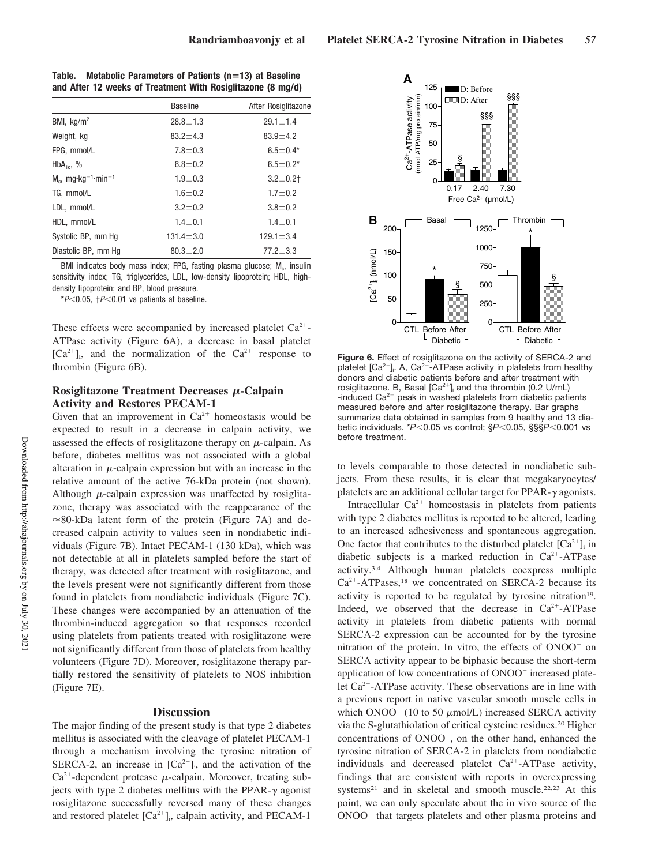**Table. Metabolic Parameters of Patients (n13) at Baseline and After 12 weeks of Treatment With Rosiglitazone (8 mg/d)**

|                                                | <b>Baseline</b> | After Rosiglitazone |
|------------------------------------------------|-----------------|---------------------|
| BMI, $kq/m^2$                                  | $28.8 \pm 1.3$  | $29.1 \pm 1.4$      |
| Weight, kg                                     | $83.2 \pm 4.3$  | $83.9 \pm 4.2$      |
| FPG. mmol/L                                    | $7.8 \pm 0.3$   | $6.5 \pm 0.4*$      |
| $HbA_{1c}$ , %                                 | $6.8 \pm 0.2$   | $6.5 \pm 0.2*$      |
| $M_c$ , mg·kg <sup>-1</sup> ·min <sup>-1</sup> | $1.9 + 0.3$     | $3.2 + 0.2$         |
| TG, mmol/L                                     | $1.6 \pm 0.2$   | $1.7 \pm 0.2$       |
| LDL, mmol/L                                    | $3.2 \pm 0.2$   | $3.8 \pm 0.2$       |
| HDL. mmol/L                                    | $1.4 \pm 0.1$   | $1.4 \pm 0.1$       |
| Systolic BP, mm Hq                             | $131.4 \pm 3.0$ | $129.1 \pm 3.4$     |
| Diastolic BP, mm Hq                            | $80.3 \pm 2.0$  | $77.2 \pm 3.3$      |

BMI indicates body mass index; FPG, fasting plasma glucose; M<sub>c</sub>, insulin sensitivity index; TG, triglycerides, LDL, low-density lipoprotein; HDL, highdensity lipoprotein; and BP, blood pressure.

 $*P<0.05$ ,  $\uparrow P<0.01$  vs patients at baseline.

These effects were accompanied by increased platelet  $Ca^{2+}$ -ATPase activity (Figure 6A), a decrease in basal platelet  $[Ca^{2+}]_1$ , and the normalization of the  $Ca^{2+}$  response to thrombin (Figure 6B).

## Rosiglitazone Treatment Decreases  $\mu$ -Calpain **Activity and Restores PECAM-1**

Given that an improvement in  $Ca^{2+}$  homeostasis would be expected to result in a decrease in calpain activity, we assessed the effects of rosiglitazone therapy on  $\mu$ -calpain. As before, diabetes mellitus was not associated with a global alteration in  $\mu$ -calpain expression but with an increase in the relative amount of the active 76-kDa protein (not shown). Although  $\mu$ -calpain expression was unaffected by rosiglitazone, therapy was associated with the reappearance of the  $\approx$ 80-kDa latent form of the protein (Figure 7A) and decreased calpain activity to values seen in nondiabetic individuals (Figure 7B). Intact PECAM-1 (130 kDa), which was not detectable at all in platelets sampled before the start of therapy, was detected after treatment with rosiglitazone, and the levels present were not significantly different from those found in platelets from nondiabetic individuals (Figure 7C). These changes were accompanied by an attenuation of the thrombin-induced aggregation so that responses recorded using platelets from patients treated with rosiglitazone were not significantly different from those of platelets from healthy volunteers (Figure 7D). Moreover, rosiglitazone therapy partially restored the sensitivity of platelets to NOS inhibition (Figure 7E).

## **Discussion**

The major finding of the present study is that type 2 diabetes mellitus is associated with the cleavage of platelet PECAM-1 through a mechanism involving the tyrosine nitration of SERCA-2, an increase in  $[Ca^{2+}]_i$ , and the activation of the  $Ca^{2+}$ -dependent protease  $\mu$ -calpain. Moreover, treating subjects with type 2 diabetes mellitus with the PPAR- $\gamma$  agonist rosiglitazone successfully reversed many of these changes and restored platelet  $[Ca<sup>2+</sup>]$ <sub>i</sub>, calpain activity, and PECAM-1



**Figure 6.** Effect of rosiglitazone on the activity of SERCA-2 and platelet  $[Ca^{2+}]$ . A,  $Ca^{2+}$ -ATPase activity in platelets from healthy donors and diabetic patients before and after treatment with rosiglitazone. B, Basal  $[Ca^{2+}]$  and the thrombin (0.2 U/mL) -induced  $Ca^{2+}$  peak in washed platelets from diabetic patients measured before and after rosiglitazone therapy. Bar graphs summarize data obtained in samples from 9 healthy and 13 diabetic individuals. \**P*<0.05 vs control; §*P*<0.05, §§§*P*<0.001 vs before treatment.

to levels comparable to those detected in nondiabetic subjects. From these results, it is clear that megakaryocytes/ platelets are an additional cellular target for PPAR- $\gamma$  agonists.

Intracellular  $Ca^{2+}$  homeostasis in platelets from patients with type 2 diabetes mellitus is reported to be altered, leading to an increased adhesiveness and spontaneous aggregation. One factor that contributes to the disturbed platelet  $[Ca^{2+}]_i$  in diabetic subjects is a marked reduction in  $Ca^{2+}-ATP$ ase activity.3,4 Although human platelets coexpress multiple Ca<sup>2+</sup>-ATPases,<sup>18</sup> we concentrated on SERCA-2 because its activity is reported to be regulated by tyrosine nitration<sup>19</sup>. Indeed, we observed that the decrease in  $Ca^{2+}-ATP$ ase activity in platelets from diabetic patients with normal SERCA-2 expression can be accounted for by the tyrosine nitration of the protein. In vitro, the effects of ONOO<sup>-</sup> on SERCA activity appear to be biphasic because the short-term application of low concentrations of ONOO<sup>-</sup> increased platelet Ca<sup>2+</sup>-ATPase activity. These observations are in line with a previous report in native vascular smooth muscle cells in which  $ONOO^{-}$  (10 to 50  $\mu$ mol/L) increased SERCA activity via the S-glutathiolation of critical cysteine residues.<sup>20</sup> Higher concentrations of ONOO , on the other hand, enhanced the tyrosine nitration of SERCA-2 in platelets from nondiabetic individuals and decreased platelet  $Ca^{2+}-ATP$ ase activity, findings that are consistent with reports in overexpressing systems<sup>21</sup> and in skeletal and smooth muscle.<sup>22,23</sup> At this point, we can only speculate about the in vivo source of the ONOO<sup>-</sup> that targets platelets and other plasma proteins and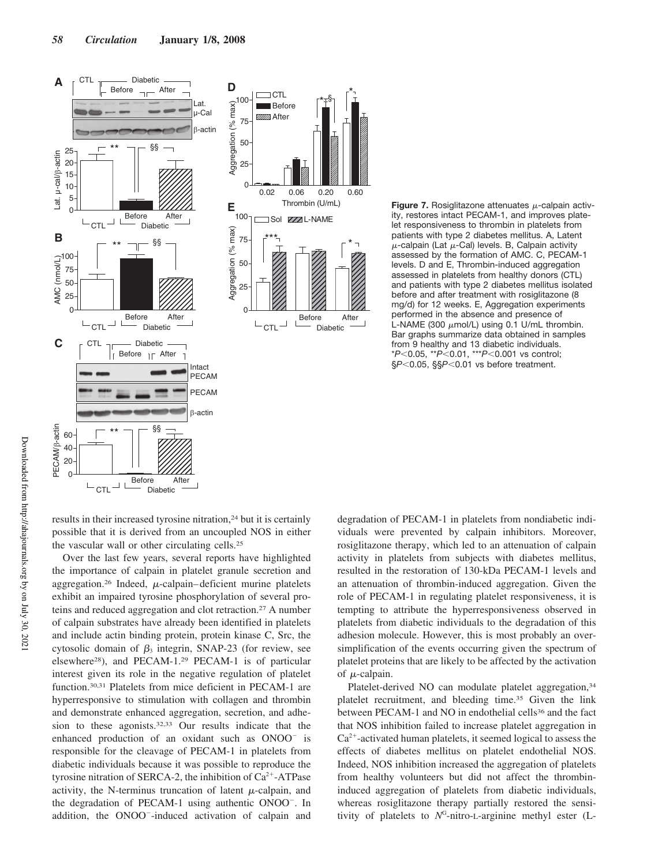



**Figure 7.** Rosiglitazone attenuates  $\mu$ -calpain activity, restores intact PECAM-1, and improves platelet responsiveness to thrombin in platelets from patients with type 2 diabetes mellitus. A, Latent  $\mu$ -calpain (Lat  $\mu$ -Cal) levels. B, Calpain activity assessed by the formation of AMC. C, PECAM-1 levels. D and E, Thrombin-induced aggregation assessed in platelets from healthy donors (CTL) and patients with type 2 diabetes mellitus isolated before and after treatment with rosiglitazone (8 mg/d) for 12 weeks. E, Aggregation experiments performed in the absence and presence of L-NAME (300  $\mu$ mol/L) using 0.1 U/mL thrombin. Bar graphs summarize data obtained in samples from 9 healthy and 13 diabetic individuals. \**P*<0.05, \*\**P*<0.01, \*\*\**P*<0.001 vs control; § $P$ <0.05, §§ $P$ <0.01 vs before treatment.

results in their increased tyrosine nitration,<sup>24</sup> but it is certainly possible that it is derived from an uncoupled NOS in either the vascular wall or other circulating cells.<sup>25</sup>

Over the last few years, several reports have highlighted the importance of calpain in platelet granule secretion and aggregation.<sup>26</sup> Indeed,  $\mu$ -calpain–deficient murine platelets exhibit an impaired tyrosine phosphorylation of several proteins and reduced aggregation and clot retraction.<sup>27</sup> A number of calpain substrates have already been identified in platelets and include actin binding protein, protein kinase C, Src, the cytosolic domain of  $\beta_3$  integrin, SNAP-23 (for review, see elsewhere<sup>28</sup>), and PECAM-1.<sup>29</sup> PECAM-1 is of particular interest given its role in the negative regulation of platelet function.30,31 Platelets from mice deficient in PECAM-1 are hyperresponsive to stimulation with collagen and thrombin and demonstrate enhanced aggregation, secretion, and adhesion to these agonists.32,33 Our results indicate that the enhanced production of an oxidant such as ONOO<sup>-</sup> is responsible for the cleavage of PECAM-1 in platelets from diabetic individuals because it was possible to reproduce the tyrosine nitration of SERCA-2, the inhibition of  $Ca^{2+}-ATP$ ase activity, the N-terminus truncation of latent  $\mu$ -calpain, and the degradation of PECAM-1 using authentic ONOO . In addition, the ONOO -induced activation of calpain and

degradation of PECAM-1 in platelets from nondiabetic individuals were prevented by calpain inhibitors. Moreover, rosiglitazone therapy, which led to an attenuation of calpain activity in platelets from subjects with diabetes mellitus, resulted in the restoration of 130-kDa PECAM-1 levels and an attenuation of thrombin-induced aggregation. Given the role of PECAM-1 in regulating platelet responsiveness, it is tempting to attribute the hyperresponsiveness observed in platelets from diabetic individuals to the degradation of this adhesion molecule. However, this is most probably an oversimplification of the events occurring given the spectrum of platelet proteins that are likely to be affected by the activation of  $\mu$ -calpain.

Platelet-derived NO can modulate platelet aggregation,<sup>34</sup> platelet recruitment, and bleeding time.<sup>35</sup> Given the link between PECAM-1 and NO in endothelial cells<sup>36</sup> and the fact that NOS inhibition failed to increase platelet aggregation in  $Ca<sup>2+</sup>$ -activated human platelets, it seemed logical to assess the effects of diabetes mellitus on platelet endothelial NOS. Indeed, NOS inhibition increased the aggregation of platelets from healthy volunteers but did not affect the thrombininduced aggregation of platelets from diabetic individuals, whereas rosiglitazone therapy partially restored the sensitivity of platelets to  $N^G$ -nitro-L-arginine methyl ester (L-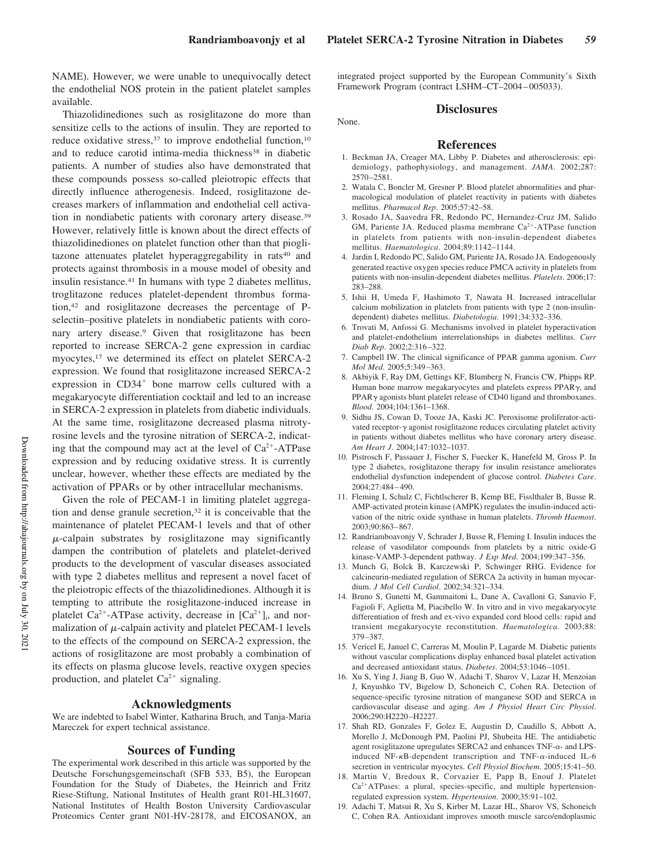NAME). However, we were unable to unequivocally detect the endothelial NOS protein in the patient platelet samples available.

Thiazolidinediones such as rosiglitazone do more than sensitize cells to the actions of insulin. They are reported to reduce oxidative stress,  $37$  to improve endothelial function,  $10$ and to reduce carotid intima-media thickness<sup>38</sup> in diabetic patients. A number of studies also have demonstrated that these compounds possess so-called pleiotropic effects that directly influence atherogenesis. Indeed, rosiglitazone decreases markers of inflammation and endothelial cell activation in nondiabetic patients with coronary artery disease.<sup>39</sup> However, relatively little is known about the direct effects of thiazolidinediones on platelet function other than that pioglitazone attenuates platelet hyperaggregability in rats<sup>40</sup> and protects against thrombosis in a mouse model of obesity and insulin resistance.<sup>41</sup> In humans with type 2 diabetes mellitus, troglitazone reduces platelet-dependent thrombus formation,<sup>42</sup> and rosiglitazone decreases the percentage of Pselectin–positive platelets in nondiabetic patients with coronary artery disease.<sup>9</sup> Given that rosiglitazone has been reported to increase SERCA-2 gene expression in cardiac myocytes,<sup>17</sup> we determined its effect on platelet SERCA-2 expression. We found that rosiglitazone increased SERCA-2 expression in CD34<sup>+</sup> bone marrow cells cultured with a megakaryocyte differentiation cocktail and led to an increase in SERCA-2 expression in platelets from diabetic individuals. At the same time, rosiglitazone decreased plasma nitrotyrosine levels and the tyrosine nitration of SERCA-2, indicating that the compound may act at the level of  $Ca^{2+}-ATP$ ase expression and by reducing oxidative stress. It is currently unclear, however, whether these effects are mediated by the activation of PPARs or by other intracellular mechanisms.

Given the role of PECAM-1 in limiting platelet aggregation and dense granule secretion,<sup>32</sup> it is conceivable that the maintenance of platelet PECAM-1 levels and that of other  $\mu$ -calpain substrates by rosiglitazone may significantly dampen the contribution of platelets and platelet-derived products to the development of vascular diseases associated with type 2 diabetes mellitus and represent a novel facet of the pleiotropic effects of the thiazolidinediones. Although it is tempting to attribute the rosiglitazone-induced increase in platelet  $Ca^{2+}-ATP$ ase activity, decrease in  $[Ca^{2+}]_i$ , and normalization of  $\mu$ -calpain activity and platelet PECAM-1 levels to the effects of the compound on SERCA-2 expression, the actions of rosiglitazone are most probably a combination of its effects on plasma glucose levels, reactive oxygen species production, and platelet  $Ca^{2+}$  signaling.

## **Acknowledgments**

We are indebted to Isabel Winter, Katharina Bruch, and Tanja-Maria Mareczek for expert technical assistance.

### **Sources of Funding**

The experimental work described in this article was supported by the Deutsche Forschungsgemeinschaft (SFB 533, B5), the European Foundation for the Study of Diabetes, the Heinrich and Fritz Riese-Stiftung, National Institutes of Health grant R01-HL31607, National Institutes of Health Boston University Cardiovascular Proteomics Center grant N01-HV-28178, and EICOSANOX, an integrated project supported by the European Community's Sixth Framework Program (contract LSHM–CT–2004–005033).

#### **Disclosures**

None.

#### **References**

- 1. Beckman JA, Creager MA, Libby P. Diabetes and atherosclerosis: epidemiology, pathophysiology, and management. *JAMA*. 2002;287: 2570–2581.
- 2. Watala C, Boncler M, Gresner P. Blood platelet abnormalities and pharmacological modulation of platelet reactivity in patients with diabetes mellitus. *Pharmacol Rep*. 2005;57:42–58.
- 3. Rosado JA, Saavedra FR, Redondo PC, Hernandez-Cruz JM, Salido GM, Pariente JA. Reduced plasma membrane Ca<sup>2+</sup>-ATPase function in platelets from patients with non-insulin-dependent diabetes mellitus. *Haematologica*. 2004;89:1142–1144.
- 4. Jardin I, Redondo PC, Salido GM, Pariente JA, Rosado JA. Endogenously generated reactive oxygen species reduce PMCA activity in platelets from patients with non-insulin-dependent diabetes mellitus. *Platelets*. 2006;17: 283–288.
- 5. Ishii H, Umeda F, Hashimoto T, Nawata H. Increased intracellular calcium mobilization in platelets from patients with type 2 (non-insulindependent) diabetes mellitus. *Diabetologia*. 1991;34:332–336.
- 6. Trovati M, Anfossi G. Mechanisms involved in platelet hyperactivation and platelet-endothelium interrelationships in diabetes mellitus. *Curr Diab Rep*. 2002;2:316–322.
- 7. Campbell IW. The clinical significance of PPAR gamma agonism. *Curr Mol Med*. 2005;5:349–363.
- 8. Akbiyik F, Ray DM, Gettings KF, Blumberg N, Francis CW, Phipps RP. Human bone marrow megakaryocytes and platelets express  $PPAR<sub>\gamma</sub>$ , and  $PPAR\gamma$  agonists blunt platelet release of CD40 ligand and thromboxanes. *Blood*. 2004;104:1361–1368.
- 9. Sidhu JS, Cowan D, Tooze JA, Kaski JC. Peroxisome proliferator-activated receptor- $\gamma$  agonist rosiglitazone reduces circulating platelet activity in patients without diabetes mellitus who have coronary artery disease. *Am Heart J*. 2004;147:1032–1037.
- 10. Pistrosch F, Passauer J, Fischer S, Fuecker K, Hanefeld M, Gross P. In type 2 diabetes, rosiglitazone therapy for insulin resistance ameliorates endothelial dysfunction independent of glucose control. *Diabetes Care*. 2004;27:484–490.
- 11. Fleming I, Schulz C, Fichtlscherer B, Kemp BE, Fisslthaler B, Busse R. AMP-activated protein kinase (AMPK) regulates the insulin-induced activation of the nitric oxide synthase in human platelets. *Thromb Haemost*. 2003;90:863–867.
- 12. Randriamboavonjy V, Schrader J, Busse R, Fleming I. Insulin induces the release of vasodilator compounds from platelets by a nitric oxide-G kinase-VAMP-3-dependent pathway. *J Exp Med*. 2004;199:347–356.
- 13. Munch G, Bolck B, Karczewski P, Schwinger RHG. Evidence for calcineurin-mediated regulation of SERCA 2a activity in human myocardium. *J Mol Cell Cardiol*. 2002;34:321–334.
- 14. Bruno S, Gunetti M, Gammaitoni L, Dane A, Cavalloni G, Sanavio F, Fagioli F, Aglietta M, Piacibello W. In vitro and in vivo megakaryocyte differentiation of fresh and ex-vivo expanded cord blood cells: rapid and transient megakaryocyte reconstitution. *Haematologica*. 2003;88: 379–387.
- 15. Vericel E, Januel C, Carreras M, Moulin P, Lagarde M. Diabetic patients without vascular complications display enhanced basal platelet activation and decreased antioxidant status. *Diabetes*. 2004;53:1046–1051.
- 16. Xu S, Ying J, Jiang B, Guo W, Adachi T, Sharov V, Lazar H, Menzoian J, Knyushko TV, Bigelow D, Schoneich C, Cohen RA. Detection of sequence-specific tyrosine nitration of manganese SOD and SERCA in cardiovascular disease and aging. *Am J Physiol Heart Circ Physiol*. 2006;290:H2220–H2227.
- 17. Shah RD, Gonzales F, Golez E, Augustin D, Caudillo S, Abbott A, Morello J, McDonough PM, Paolini PJ, Shubeita HE. The antidiabetic agent rosiglitazone upregulates SERCA2 and enhances  $TNF-\alpha$ - and LPSinduced NF- $\kappa$ B-dependent transcription and TNF- $\alpha$ -induced IL-6 secretion in ventricular myocytes. *Cell Physiol Biochem*. 2005;15:41–50.
- 18. Martin V, Bredoux R, Corvazier E, Papp B, Enouf J. Platelet  $Ca<sup>2+</sup>ATPases: a plural, species-specific, and multiple hypertension$ regulated expression system. *Hypertension*. 2000;35:91–102.
- 19. Adachi T, Matsui R, Xu S, Kirber M, Lazar HL, Sharov VS, Schoneich C, Cohen RA. Antioxidant improves smooth muscle sarco/endoplasmic